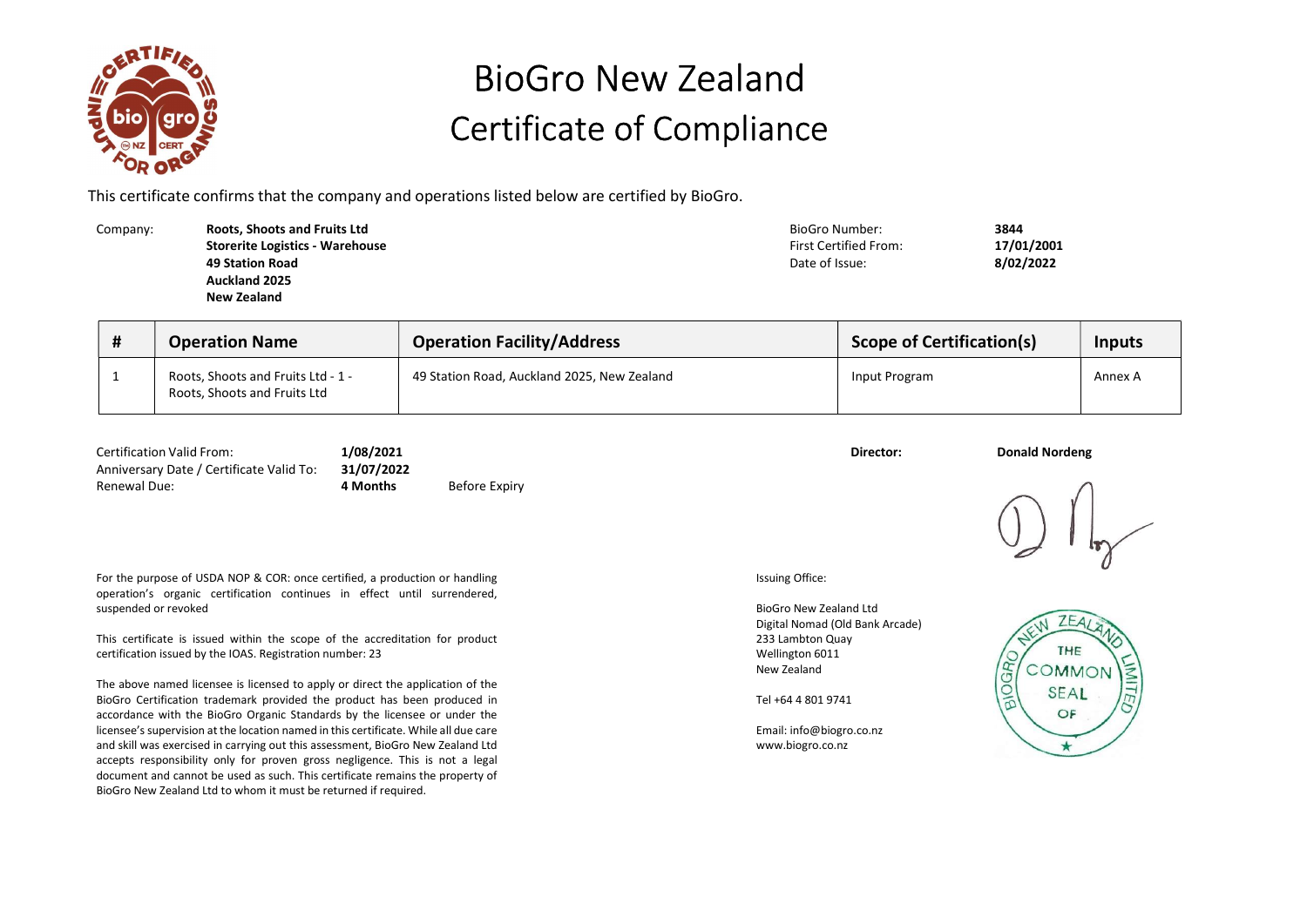

## BioGro New Zealand Certificate of Compliance

This certificate confirms that the company and operations listed below are certified by BioGro.

Company: **Roots, Shoots and Fruits Ltd** BioGro Number: 3844 Storerite Logistics - Warehouse 49 Station Road Auckland 2025 New Zealand

First Certified From: 17/01/2001 Date of Issue: 8/02/2022

| # | <b>Operation Name</b>                                              | <b>Operation Facility/Address</b>           | <b>Scope of Certification(s)</b> | Inputs  |
|---|--------------------------------------------------------------------|---------------------------------------------|----------------------------------|---------|
|   | Roots, Shoots and Fruits Ltd - 1 -<br>Roots, Shoots and Fruits Ltd | 49 Station Road, Auckland 2025, New Zealand | Input Program                    | Annex A |

| <b>Certification Valid From:</b>                    | 1/08/2021 |               | Director: | <b>Donald Nordeng</b> |
|-----------------------------------------------------|-----------|---------------|-----------|-----------------------|
| Anniversary Date / Certificate Valid To: 31/07/2022 |           |               |           |                       |
| Renewal Due:                                        | 4 Months  | Before Expiry |           |                       |

For the purpose of USDA NOP & COR: once certified, a production or handling operation's organic certification continues in effect until surrendered, suspended or revoked

This certificate is issued within the scope of the accreditation for product certification issued by the IOAS. Registration number: 23

The above named licensee is licensed to apply or direct the application of the BioGro Certification trademark provided the product has been produced in accordance with the BioGro Organic Standards by the licensee or under the licensee's supervision at the location named in this certificate. While all due care and skill was exercised in carrying out this assessment, BioGro New Zealand Ltd accepts responsibility only for proven gross negligence. This is not a legal document and cannot be used as such. This certificate remains the property of BioGro New Zealand Ltd to whom it must be returned if required.

Issuing Office:

BioGro New Zealand Ltd Digital Nomad (Old Bank Arcade) 233 Lambton Quay Wellington 6011 New Zealand

Tel +64 4 801 9741

Email: info@biogro.co.nz www.biogro.co.nz



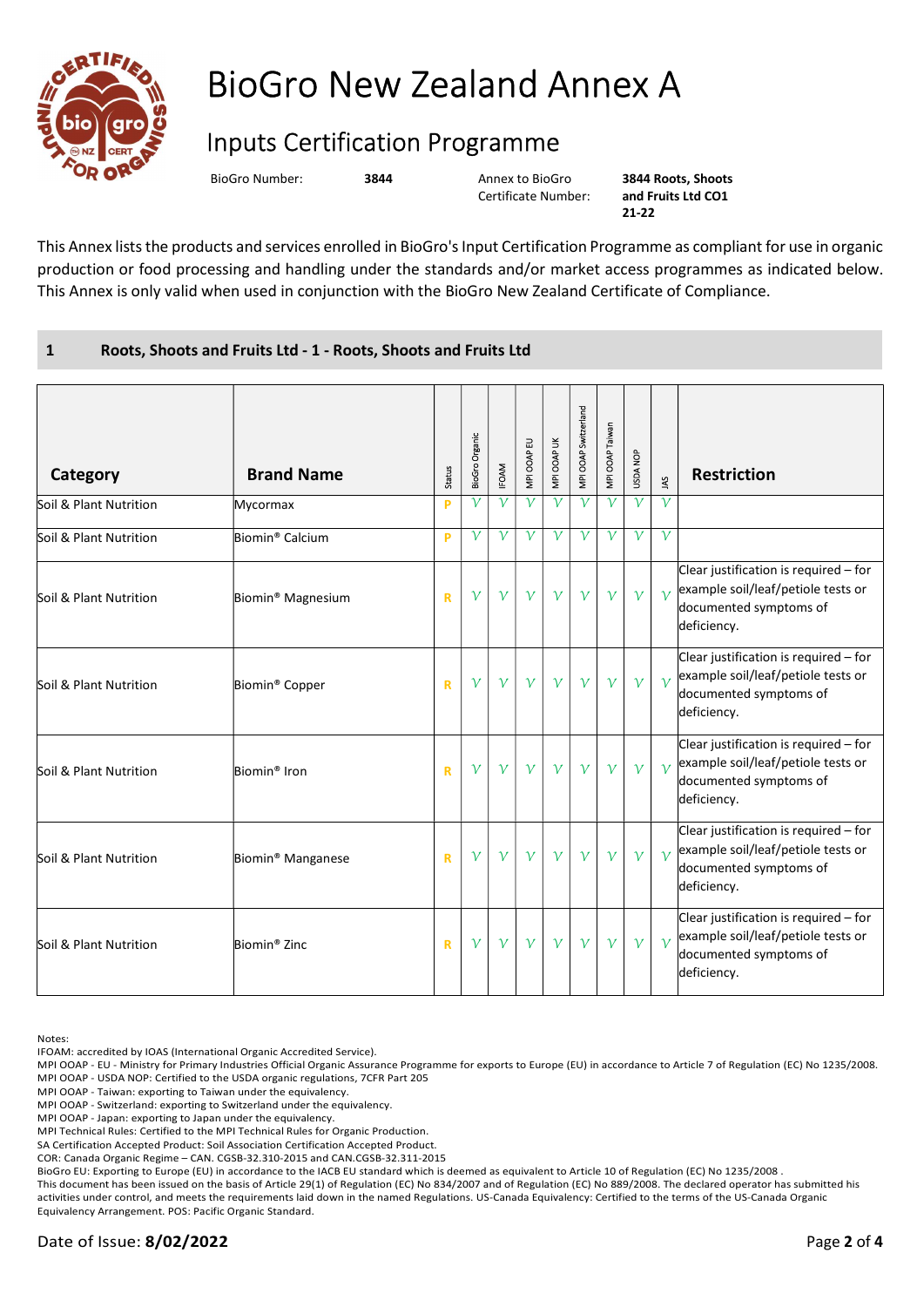

## BioGro New Zealand Annex A

## Inputs Certification Programme

BioGro Number: 3844 Annex to BioGro

Certificate Number:

3844 Roots, Shoots and Fruits Ltd CO1 21-22

This Annex lists the products and services enrolled in BioGro's Input Certification Programme as compliant for use in organic production or food processing and handling under the standards and/or market access programmes as indicated below. This Annex is only valid when used in conjunction with the BioGro New Zealand Certificate of Compliance.

## 1 Roots, Shoots and Fruits Ltd - 1 - Roots, Shoots and Fruits Ltd

| Category               | <b>Brand Name</b>             | <b>Status</b>           | BioGro Organic | <b>IFOAM</b> | MPI OOAP EU  | MPI OOAP UK  | MPI OOAP Switzerland | MPI OOAP Taiwan  | <b>USDA NOP</b>  | $\tilde{\mathbf{z}}$ | <b>Restriction</b>                                                                                                   |
|------------------------|-------------------------------|-------------------------|----------------|--------------|--------------|--------------|----------------------|------------------|------------------|----------------------|----------------------------------------------------------------------------------------------------------------------|
| Soil & Plant Nutrition | Mycormax                      | P                       | $\mathcal V$   | $\mathcal V$ | $\mathcal V$ | $\mathcal V$ | $\mathcal V$         | $\mathcal V$     | $\mathcal V$     | $\mathcal V$         |                                                                                                                      |
| Soil & Plant Nutrition | Biomin <sup>®</sup> Calcium   | P                       | $\mathcal V$   | $\mathcal V$ | $\mathcal V$ | $\mathcal V$ | $\mathcal V$         | $\overline{\nu}$ | $\overline{\nu}$ | $\mathcal{V}$        |                                                                                                                      |
| Soil & Plant Nutrition | Biomin <sup>®</sup> Magnesium | $\overline{\mathsf{R}}$ | $\mathcal V$   | $\gamma$     | $\mathcal V$ | $\mathcal V$ | $\mathcal V$         | $\mathcal V$     | $\mathcal V$     | $\gamma$             | Clear justification is required - for<br>example soil/leaf/petiole tests or<br>documented symptoms of<br>deficiency. |
| Soil & Plant Nutrition | Biomin <sup>®</sup> Copper    | $\mathbf R$             | $\mathcal V$   | $\mathcal V$ | $\mathcal V$ | $\mathcal V$ | $\mathcal V$         | $\mathcal V$     | $\mathcal V$     | $\overline{v}$       | Clear justification is required - for<br>example soil/leaf/petiole tests or<br>documented symptoms of<br>deficiency. |
| Soil & Plant Nutrition | Biomin <sup>®</sup> Iron      | $\mathbf R$             | $\mathcal V$   | $\mathcal V$ | $\mathcal V$ | $\mathcal V$ | $\mathcal V$         | $\mathcal V$     | $\mathcal V$     | $\gamma$             | Clear justification is required - for<br>example soil/leaf/petiole tests or<br>documented symptoms of<br>deficiency. |
| Soil & Plant Nutrition | Biomin <sup>®</sup> Manganese | $\mathbf R$             | $\mathcal V$   | $\mathcal V$ | $\mathcal V$ | $\gamma$     | $\mathcal V$         | $\mathcal V$     | $\mathcal V$     | $\gamma$             | Clear justification is required - for<br>example soil/leaf/petiole tests or<br>documented symptoms of<br>deficiency. |
| Soil & Plant Nutrition | Biomin <sup>®</sup> Zinc      | $\mathbf R$             | $\mathcal V$   | $\gamma$     | $\mathcal V$ | $\mathcal V$ | $\mathcal V$         | $\mathcal V$     | $\mathcal V$     | $\gamma$             | Clear justification is required - for<br>example soil/leaf/petiole tests or<br>documented symptoms of<br>deficiency. |

Notes:

IFOAM: accredited by IOAS (International Organic Accredited Service).

MPI OOAP - EU - Ministry for Primary Industries Official Organic Assurance Programme for exports to Europe (EU) in accordance to Article 7 of Regulation (EC) No 1235/2008. MPI OOAP - USDA NOP: Certified to the USDA organic regulations, 7CFR Part 205

MPI OOAP - Taiwan: exporting to Taiwan under the equivalency.

MPI OOAP - Switzerland: exporting to Switzerland under the equivalency.

MPI OOAP - Japan: exporting to Japan under the equivalency.

MPI Technical Rules: Certified to the MPI Technical Rules for Organic Production.

SA Certification Accepted Product: Soil Association Certification Accepted Product.

COR: Canada Organic Regime – CAN. CGSB-32.310-2015 and CAN.CGSB-32.311-2015

BioGro EU: Exporting to Europe (EU) in accordance to the IACB EU standard which is deemed as equivalent to Article 10 of Regulation (EC) No 1235/2008 .

This document has been issued on the basis of Article 29(1) of Regulation (EC) No 834/2007 and of Regulation (EC) No 889/2008. The declared operator has submitted his activities under control, and meets the requirements laid down in the named Regulations. US-Canada Equivalency: Certified to the terms of the US-Canada Organic Equivalency Arrangement. POS: Pacific Organic Standard.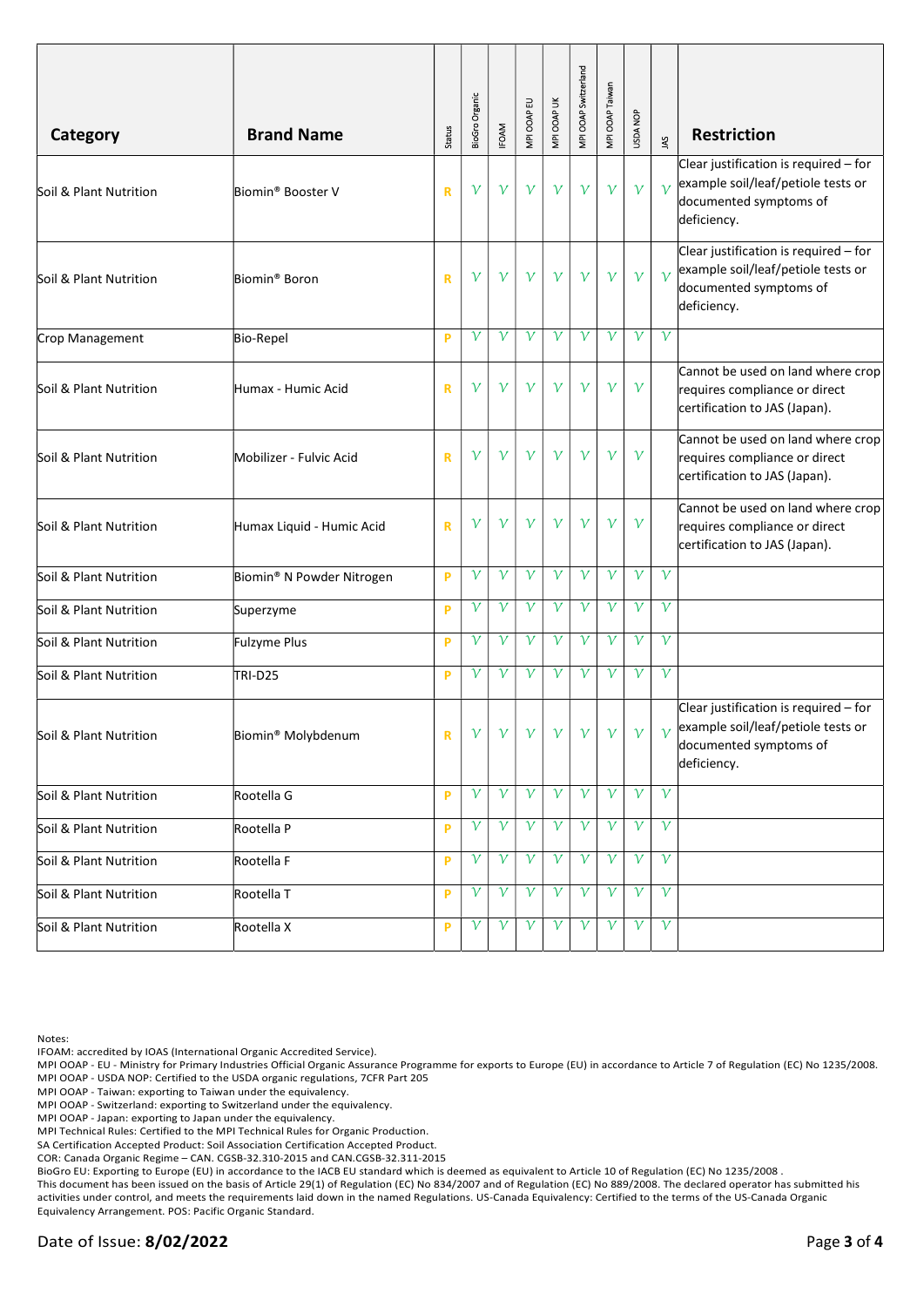| Category               | <b>Brand Name</b>              | <b>Status</b> | BioGro Organic | <b>IFOAM</b> | MPI OOAP EU  | MPI OOAP UK     | MPI OOAP Switzerland | MPI OOAP Taiwan | USDA NOP     | $\tilde{s}$  | <b>Restriction</b>                                                                                                   |
|------------------------|--------------------------------|---------------|----------------|--------------|--------------|-----------------|----------------------|-----------------|--------------|--------------|----------------------------------------------------------------------------------------------------------------------|
| Soil & Plant Nutrition | Biomin <sup>®</sup> Booster V  | $\mathbf R$   | $\mathcal V$   | $\gamma$     | $\mathcal V$ | $\gamma$        | $\mathcal V$         | $\mathcal V$    | $\mathcal V$ | $\gamma$     | Clear justification is required - for<br>example soil/leaf/petiole tests or<br>documented symptoms of<br>deficiency. |
| Soil & Plant Nutrition | Biomin <sup>®</sup> Boron      | $\mathbf R$   | $\mathcal V$   | $\gamma$     | $\mathcal V$ | $\gamma$        | $\gamma$             | $\gamma$        | $\mathcal V$ | $\gamma$     | Clear justification is required - for<br>example soil/leaf/petiole tests or<br>documented symptoms of<br>deficiency. |
| Crop Management        | <b>Bio-Repel</b>               | P             | $\mathcal V$   | $\mathcal V$ | $\mathcal V$ | $\mathcal V$    | ν                    | $\mathcal V$    | $\mathcal V$ | $\mathcal V$ |                                                                                                                      |
| Soil & Plant Nutrition | Humax - Humic Acid             | $\mathbf R$   | $\mathcal V$   | $\gamma$     | $\mathcal V$ | $\gamma$        | $\mathcal V$         | $\gamma$        | $\gamma$     |              | Cannot be used on land where crop<br>requires compliance or direct<br>certification to JAS (Japan).                  |
| Soil & Plant Nutrition | Mobilizer - Fulvic Acid        | $\mathbf R$   | $\mathcal V$   | $\gamma$     | $\mathcal V$ | $\gamma$        | $\mathcal V$         | $\gamma$        | $\mathcal V$ |              | Cannot be used on land where crop<br>requires compliance or direct<br>certification to JAS (Japan).                  |
| Soil & Plant Nutrition | Humax Liquid - Humic Acid      | R             | $\mathcal V$   | $\mathcal V$ | $\mathcal V$ | $\mathcal V$    | $\mathcal V$         | $\mathcal V$    | $\mathcal V$ |              | Cannot be used on land where crop<br>requires compliance or direct<br>certification to JAS (Japan).                  |
| Soil & Plant Nutrition | Biomin® N Powder Nitrogen      | P             | $\mathcal V$   | $\mathcal V$ | $\mathcal V$ | $\mathcal V$    | $\mathcal V$         | $\gamma$        | $\mathcal V$ | $\mathcal V$ |                                                                                                                      |
| Soil & Plant Nutrition | Superzyme                      | P             | $\mathcal V$   | $\mathcal V$ | $\mathcal V$ | $\mathcal V$    | $\mathcal V$         | $\mathcal V$    | $\mathcal V$ | $\mathcal V$ |                                                                                                                      |
| Soil & Plant Nutrition | Fulzyme Plus                   | P             | $\mathcal V$   | $\mathcal V$ | $\mathcal V$ | $\mathcal V$    | ν                    | $\mathcal V$    | $\mathcal V$ | $\mathcal V$ |                                                                                                                      |
| Soil & Plant Nutrition | TRI-D25                        | P             | $\mathcal V$   | $\mathcal V$ | $\mathcal V$ | $\gamma$        | $\mathcal V$         | $\mathcal V$    | $\mathcal V$ | $\mathcal V$ |                                                                                                                      |
| Soil & Plant Nutrition | Biomin <sup>®</sup> Molybdenum | $\mathbf R$   | $\mathcal{V}$  |              |              | v v v v v v v v |                      |                 |              | $\gamma$     | Clear justification is required - for<br>example soil/leaf/petiole tests or<br>documented symptoms of<br>deficiency. |
| Soil & Plant Nutrition | Rootella G                     | P             | $\gamma$       | $\gamma$     | $\gamma$     | $\gamma$        | $\gamma$             | $\mathcal V$    | $\mathcal V$ | $\gamma$     |                                                                                                                      |
| Soil & Plant Nutrition | Rootella P                     | P             | $\mathcal V$   | $\gamma$     | $\gamma$     | $\gamma$        | $\gamma$             | $\gamma$        | $\gamma$     | $\mathcal V$ |                                                                                                                      |
| Soil & Plant Nutrition | Rootella F                     | P             | $\mathcal V$   | $\mathcal V$ | $\gamma$     | $\gamma$        | $\mathcal V$         | $\mathcal V$    | ν            | $\mathcal V$ |                                                                                                                      |
| Soil & Plant Nutrition | Rootella T                     | P             | $\mathcal V$   | $\gamma$     | $\gamma$     | $\gamma$        | $\mathcal V$         | $\mathcal V$    | $\mathcal V$ | $\gamma$     |                                                                                                                      |
| Soil & Plant Nutrition | Rootella X                     | P             | $\mathcal V$   | $\mathcal V$ | $\mathcal V$ | $\gamma$        | $\gamma$             | $\mathcal V$    | $\mathcal V$ | $\gamma$     |                                                                                                                      |

Notes:

IFOAM: accredited by IOAS (International Organic Accredited Service).

MPI OOAP - EU - Ministry for Primary Industries Official Organic Assurance Programme for exports to Europe (EU) in accordance to Article 7 of Regulation (EC) No 1235/2008. MPI OOAP - USDA NOP: Certified to the USDA organic regulations, 7CFR Part 205

MPI OOAP - Taiwan: exporting to Taiwan under the equivalency.

MPI OOAP - Switzerland: exporting to Switzerland under the equivalency.

MPI OOAP - Japan: exporting to Japan under the equivalency.

MPI Technical Rules: Certified to the MPI Technical Rules for Organic Production.

SA Certification Accepted Product: Soil Association Certification Accepted Product.

COR: Canada Organic Regime – CAN. CGSB-32.310-2015 and CAN.CGSB-32.311-2015

BioGro EU: Exporting to Europe (EU) in accordance to the IACB EU standard which is deemed as equivalent to Article 10 of Regulation (EC) No 1235/2008 .

This document has been issued on the basis of Article 29(1) of Regulation (EC) No 834/2007 and of Regulation (EC) No 889/2008. The declared operator has submitted his activities under control, and meets the requirements laid down in the named Regulations. US-Canada Equivalency: Certified to the terms of the US-Canada Organic Equivalency Arrangement. POS: Pacific Organic Standard.